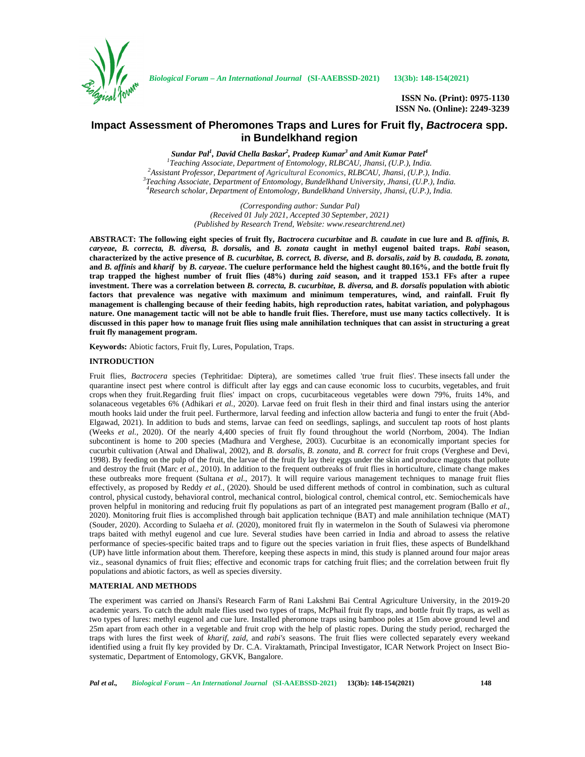

**ISSN No. (Print): 0975-1130 ISSN No. (Online): 2249-3239**

# **Impact Assessment of Pheromones Traps and Lures for Fruit fly,** *Bactrocera* **spp. in Bundelkhand region**

*Sundar Pal<sup>1</sup> , David Chella Baskar<sup>2</sup> , Pradeep Kumar<sup>3</sup> and Amit Kumar Patel<sup>4</sup>* <sup>1</sup>Teaching Associate, Department of Entomology, RLBCAU, Jhansi, (U.P.), India.<br><sup>2</sup>Assistant Professor, Department of Agricultural Economics, RLBCAU, Jhansi, (U.P.), India.<br><sup>3</sup>Teaching Associate, Department of Entomology,

> *(Corresponding author: Sundar Pal) (Received 01 July 2021, Accepted 30 September, 2021) (Published by Research Trend, Website: <www.researchtrend.net>)*

**ABSTRACT: The following eight species of fruit fly,** *Bactrocera cucurbitae* **and** *B. caudate* **in cue lure and** *B. affinis, B. caryeae, B. correcta, B. diversa, B. dorsalis,* **and** *B. zonata* **caught in methyl eugenol baited traps.** *Rabi* **season, characterized by the active presence of** *B. cucurbitae, B. correct, B. diverse,* **and** *B. dorsalis***,** *zaid* **by** *B. caudada, B. zonata,* **and** *B. affinis* **and** *kharif* **by** *B. caryeae***. The cuelure performance held the highest caught 80.16%, and the bottle fruit fly trap trapped the highest number of fruit flies (48%) during** *zaid* **season, and it trapped 153.1 FFs after a rupee investment. There was a correlation between** *B. correcta, B. cucurbitae, B. diversa,* **and** *B. dorsalis* **population with abiotic factors that prevalence was negative with maximum and minimum temperatures, wind, and rainfall. Fruit fly management is challenging because of their feeding habits, high reproduction rates, habitat variation, and polyphagous nature. One management tactic will not be able to handle fruit flies. Therefore, must use many tactics collectively. It is discussed in this paper how to manage fruit flies using male annihilation techniques that can assist in structuring a great fruit fly management program.**

**Keywords:** Abiotic factors, Fruit fly, Lures, Population, Traps.

## **INTRODUCTION**

Fruit flies, *Bactrocera* species (Tephritidae: Diptera), are sometimes called 'true fruit flies'. These insects fall under the quarantine insect pest where control is difficult after lay eggs and can cause economic loss to cucurbits, vegetables, and fruit crops when they fruit.Regarding fruit flies' impact on crops, cucurbitaceous vegetables were down 79%, fruits 14%, and solanaceous vegetables 6% (Adhikari *et al.,* 2020). Larvae feed on fruit flesh in their third and final instars using the anterior mouth hooks laid under the fruit peel. Furthermore, larval feeding and infection allow bacteria and fungi to enter the fruit (Abd- Elgawad, 2021). In addition to buds and stems, larvae can feed on seedlings, saplings, and succulent tap roots of host plants (Weeks *et al.,* 2020). Of the nearly 4,400 species of fruit fly found throughout the world (Norrbom, 2004). The Indian subcontinent is home to 200 species (Madhura and Verghese, 2003). Cucurbitae is an economically important species for cucurbit cultivation (Atwal and Dhaliwal, 2002), and *B. dorsalis, B. zonata,* and *B. correct* for fruit crops (Verghese and Devi, 1998). By feeding on the pulp of the fruit, the larvae of the fruit fly lay their eggs under the skin and produce maggots that pollute and destroy the fruit (Marc *et al.,* 2010). In addition to the frequent outbreaks of fruit flies in horticulture, climate change makes these outbreaks more frequent (Sultana *et al.,* 2017). It will require various management techniques to manage fruit flies effectively, as proposed by Reddy *et al.*, (2020). Should be used different methods of control in combination, such as cultural control, physical custody, behavioral control, mechanical control, biological control, chemical control, etc. Semiochemicals have proven helpful in monitoring and reducing fruit fly populations as part of an integrated pest management program (Ballo *et al.,* 2020). Monitoring fruit flies is accomplished through bait application technique (BAT) and male annihilation technique (MAT) (Souder, 2020). According to Sulaeha *et al.* (2020), monitored fruit fly in watermelon in the South of Sulawesi via pheromone traps baited with methyl eugenol and cue lure. Several studies have been carried in India and abroad to assess the relative performance of species-specific baited traps and to figure out the species variation in fruit flies, these aspects of Bundelkhand (UP) have little information about them. Therefore, keeping these aspects in mind, this study is planned around four major areas viz., seasonal dynamics of fruit flies; effective and economic traps for catching fruit flies; and the correlation between fruit fly populations and abiotic factors, as well as species diversity.

## **MATERIAL AND METHODS**

The experiment was carried on Jhansi's Research Farm of Rani Lakshmi Bai Central Agriculture University, in the 2019-20 academic years. To catch the adult male flies used two types of traps, McPhail fruit fly traps, and bottle fruit fly traps, as well as two types of lures: methyl eugenol and cue lure. Installed pheromone traps using bamboo poles at 15m above ground level and 25m apart from each other in a vegetable and fruit crop with the help of plastic ropes. During the study period, recharged the traps with lures the first week of *kharif, zaid*, and *rabi's* seasons. The fruit flies were collected separately every weekand identified using a fruit fly key provided by Dr. C.A. Viraktamath, Principal Investigator, ICAR Network Project on Insect Bio systematic, Department of Entomology, GKVK, Bangalore.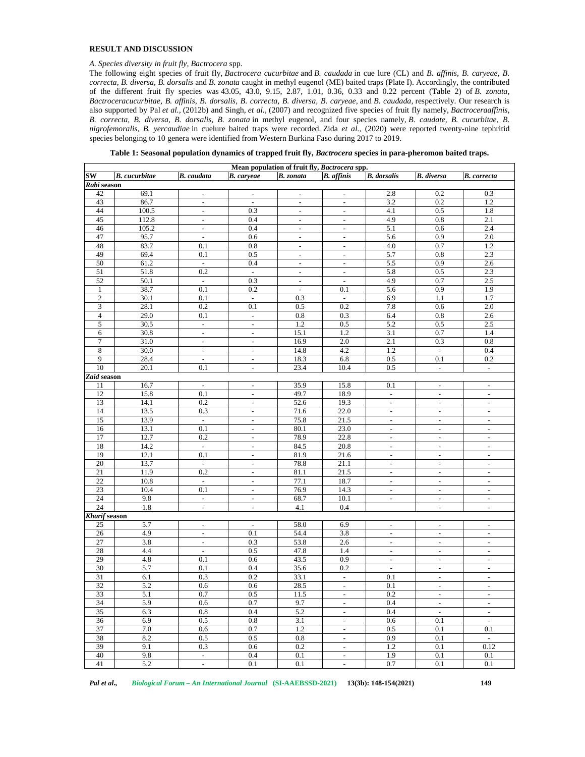## **RESULT AND DISCUSSION**

## *A. Species diversity in fruit fly, Bactrocera* spp.

The following eight species of fruit fly, *Bactrocera cucurbitae* and *B. caudada* in cue lure (CL) and *B. affinis, B. caryeae, B. correcta, B. diversa, B. dorsalis* and *B. zonata* caught in methyl eugenol (ME) baited traps (Plate I). Accordingly, the contributed of the different fruit fly species was 43.05, 43.0, 9.15, 2.87, 1.01, 0.36, 0.33 and 0.22 percent (Table 2) of *B. zonata, Bactroceracucurbitae, B. affinis, B. dorsalis, B. correcta, B. diversa, B. caryeae,* and *B. caudada,* respectively. Our research is also supported by Pal *et al.,* (2012b) and Singh, *et al.,* (2007) and recognized five species of fruit fly namely, *Bactroceraaffinis, B. correcta, B. diversa, B. dorsalis, B. zonata* in methyl eugenol, and four species namely, *B. caudate, B. cucurbitae, B. nigrofemoralis, B. yercaudiae* in cuelure baited traps were recorded. Zida *et al.,* (2020) were reported twenty-nine tephritid species belonging to 10 genera were identified from Western Burkina Faso during 2017 to 2019.

|  | Table 1: Seasonal population dynamics of trapped fruit fly, Bactrocera species in para-pheromon baited traps. |
|--|---------------------------------------------------------------------------------------------------------------|
|  |                                                                                                               |

|                      |                      |                          |                          | Mean population of fruit fly, Bactrocera spp. |                           |                              |                          |                          |
|----------------------|----------------------|--------------------------|--------------------------|-----------------------------------------------|---------------------------|------------------------------|--------------------------|--------------------------|
| SW                   | <b>B.</b> cucurbitae | <b>B.</b> caudata        | <b>B.</b> caryeae        | <b>B.</b> zonata                              | <b>B.</b> affinis         | <b>B.</b> dorsalis           | <b>B.</b> diversa        | <b>B.</b> correcta       |
| Rabi season          |                      |                          |                          |                                               |                           |                              |                          |                          |
| 42                   | 69.1                 | $\overline{\phantom{a}}$ | $\overline{\phantom{a}}$ | $\overline{\phantom{a}}$                      | $\overline{\phantom{a}}$  | 2.8                          | 0.2                      | 0.3                      |
| 43                   | 86.7                 | $\overline{\phantom{a}}$ | $\overline{\phantom{a}}$ | $\blacksquare$                                | $\overline{\phantom{a}}$  | 3.2                          | 0.2                      | 1.2                      |
| 44                   | 100.5                | $\bar{\phantom{a}}$      | 0.3                      | $\equiv$                                      | $\bar{\mathcal{L}}$       | 4.1                          | 0.5                      | 1.8                      |
| 45                   | 112.8                | $\overline{\phantom{a}}$ | 0.4                      | $\overline{\phantom{a}}$                      | $\overline{\phantom{a}}$  | 4.9                          | $\rm 0.8$                | 2.1                      |
| 46                   | 105.2                | $\overline{\phantom{a}}$ | 0.4                      | $\overline{\phantom{a}}$                      | $\blacksquare$            | 5.1                          | 0.6                      | 2.4                      |
| 47                   | 95.7                 | $\blacksquare$           | 0.6                      | $\overline{\phantom{a}}$                      | $\overline{\phantom{a}}$  | 5.6                          | 0.9                      | 2.0                      |
| 48                   | 83.7                 | 0.1                      | $0.8\,$                  | $\bar{\phantom{a}}$                           | $\mathcal{L}$             | 4.0                          | 0.7                      | 1.2                      |
| 49                   | 69.4                 | 0.1                      | 0.5                      | $\overline{\phantom{a}}$                      | $\overline{\phantom{a}}$  | 5.7                          | 0.8                      | 2.3                      |
| 50                   | 61.2                 | $\mathbb{Z}^2$           | 0.4                      | $\blacksquare$                                | $\blacksquare$            | 5.5                          | 0.9                      | 2.6                      |
| 51                   | 51.8                 | 0.2                      | $\overline{\phantom{a}}$ | $\overline{\phantom{a}}$                      | $\overline{\phantom{a}}$  | 5.8                          | 0.5                      | 2.3                      |
| 52                   | 50.1                 | $\mathbb{Z}^2$           | 0.3                      | $\blacksquare$                                | $\mathbf{r}$              | 4.9                          | 0.7                      | 2.5                      |
| $\mathbf{1}$         | 38.7                 | 0.1                      | 0.2                      | $\overline{\phantom{a}}$                      | 0.1                       | 5.6                          | 0.9                      | 1.9                      |
| $\sqrt{2}$           | 30.1                 | 0.1                      | $\Box$                   | 0.3                                           | $\overline{\phantom{a}}$  | 6.9                          | 1.1                      | 1.7                      |
| 3                    | 28.1                 | 0.2                      | 0.1                      | 0.5                                           | 0.2                       | $7.8\,$                      | 0.6                      | $2.0\,$                  |
| $\overline{4}$       | 29.0                 | 0.1                      | $\overline{\phantom{a}}$ | 0.8                                           | 0.3                       | 6.4                          | 0.8                      | 2.6                      |
| 5                    | 30.5                 | $\overline{\phantom{a}}$ | $\Box$                   | 1.2                                           | 0.5                       | 5.2                          | 0.5                      | $2.5\,$                  |
| 6                    | 30.8                 | $\overline{\phantom{a}}$ | $\overline{\phantom{a}}$ | 15.1                                          | 1.2                       | 3.1                          | 0.7                      | 1.4                      |
| $\tau$               | 31.0                 | $\overline{\phantom{a}}$ | $\overline{\phantom{a}}$ | 16.9                                          | 2.0                       | 2.1                          | 0.3                      | 0.8                      |
| $\,8\,$              | 30.0                 | $\overline{\phantom{a}}$ | $\overline{\phantom{a}}$ | 14.8                                          | 4.2                       | 1.2                          | $\blacksquare$           | 0.4                      |
| 9                    | 28.4                 | $\overline{\phantom{a}}$ | $\overline{\phantom{a}}$ | 18.3                                          | 6.8                       | $0.5\,$                      | 0.1                      | 0.2                      |
| 10                   | 20.1                 | 0.1                      | $\overline{\phantom{a}}$ | 23.4                                          | 10.4                      | $0.5\,$                      | $\overline{\phantom{a}}$ | $\overline{\phantom{a}}$ |
| Zaid season          |                      |                          |                          |                                               |                           |                              |                          |                          |
| 11                   | 16.7                 | $\blacksquare$           | $\blacksquare$           | 35.9                                          | 15.8                      | 0.1                          | $\sim$                   | $\overline{\phantom{a}}$ |
| 12                   | 15.8                 | 0.1                      | $\overline{\phantom{a}}$ | 49.7                                          | 18.9                      | $\omega$                     | $\blacksquare$           | $\overline{\phantom{a}}$ |
| 13                   | 14.1                 | 0.2                      | $\overline{\phantom{a}}$ | 52.6                                          | 19.3                      | $\overline{\phantom{a}}$     | $\overline{\phantom{a}}$ | $\overline{\phantom{a}}$ |
| 14                   | 13.5                 | 0.3                      | $\overline{\phantom{a}}$ | 71.6                                          | 22.0                      | $\mathcal{L}_{\mathcal{A}}$  | $\overline{\phantom{a}}$ | $\sim$                   |
| 15                   | 13.9                 | $\mathbb{Z}^2$           | $\overline{\phantom{a}}$ | 75.8                                          | 21.5                      | $\overline{\phantom{a}}$     | $\blacksquare$           | $\overline{\phantom{a}}$ |
| 16                   | 13.1                 | 0.1                      | $\blacksquare$           | 80.1                                          | 23.0                      | $\overline{\phantom{a}}$     | $\overline{\phantom{a}}$ | $\overline{\phantom{a}}$ |
| 17                   | 12.7                 | 0.2                      | $\overline{\phantom{a}}$ | 78.9                                          | 22.8                      | $\blacksquare$               | $\overline{\phantom{a}}$ | $\overline{\phantom{a}}$ |
| 18                   | 14.2                 | $\blacksquare$           | $\overline{\phantom{a}}$ | 84.5                                          | 20.8                      | $\overline{\phantom{a}}$     | $\overline{\phantom{a}}$ | $\overline{\phantom{a}}$ |
| 19                   | 12.1                 | 0.1                      | $\overline{\phantom{a}}$ | 81.9                                          | 21.6                      | $\blacksquare$               | $\overline{\phantom{a}}$ | $\overline{\phantom{a}}$ |
| 20                   | 13.7                 | $\equiv$                 | $\overline{\phantom{a}}$ | 78.8                                          | 21.1                      | $\blacksquare$               | $\overline{\phantom{a}}$ | $\overline{\phantom{a}}$ |
| 21                   | 11.9                 | 0.2                      | $\overline{\phantom{a}}$ | 81.1                                          | 21.5                      | $\blacksquare$               | $\overline{\phantom{a}}$ | $\overline{\phantom{a}}$ |
| 22                   | 10.8                 | $\omega$                 | $\overline{\phantom{a}}$ | 77.1                                          | 18.7                      | $\blacksquare$               | $\overline{\phantom{a}}$ | $\overline{\phantom{a}}$ |
| 23                   | 10.4                 | 0.1                      | $\blacksquare$           | 76.9                                          | 14.3                      | $\overline{\phantom{a}}$     | $\overline{\phantom{a}}$ | $\blacksquare$           |
| 24                   | 9.8                  | $\mathbb{Z}^2$           | $\blacksquare$           | 68.7                                          | 10.1                      | $\Box$                       | $\blacksquare$           | $\blacksquare$           |
| 24                   | 1.8                  | $\overline{\phantom{a}}$ | $\blacksquare$           | 4.1                                           | 0.4                       |                              | $\overline{\phantom{a}}$ | $\overline{\phantom{a}}$ |
| <b>Kharif</b> season |                      |                          |                          |                                               |                           |                              |                          |                          |
| 25                   | 5.7                  | $\overline{\phantom{a}}$ | $\overline{\phantom{a}}$ | 58.0                                          | 6.9                       | $\qquad \qquad \blacksquare$ | $\overline{\phantom{a}}$ | $\overline{\phantom{a}}$ |
| 26                   | 4.9                  | $\overline{\phantom{a}}$ | 0.1                      | 54.4                                          | 3.8                       | $\overline{a}$               | $\blacksquare$           | $\overline{\phantom{a}}$ |
| 27                   | 3.8                  | $\blacksquare$           | 0.3                      | 53.8                                          | 2.6                       | $\blacksquare$               | $\overline{\phantom{a}}$ | $\overline{\phantom{a}}$ |
| 28                   | 4.4                  | $\overline{\phantom{a}}$ | 0.5                      | 47.8                                          | 1.4                       | $\overline{\phantom{a}}$     | $\overline{\phantom{a}}$ | $\overline{\phantom{a}}$ |
| 29                   | 4.8                  | 0.1                      | 0.6                      | 43.5                                          | 0.9                       | $\overline{\phantom{a}}$     | $\overline{\phantom{a}}$ | $\overline{\phantom{a}}$ |
| 30                   | 5.7                  | 0.1                      | 0.4                      | 35.6                                          | 0.2                       | $\blacksquare$               | $\blacksquare$           | $\overline{\phantom{a}}$ |
| 31                   | 6.1                  | 0.3                      | 0.2                      | 33.1                                          | $\Box$                    | 0.1                          | $\blacksquare$           | $\overline{\phantom{a}}$ |
| 32                   | $5.2\,$              | 0.6                      | $0.6\,$                  | 28.5                                          | $\overline{\phantom{a}}$  | 0.1                          | $\overline{\phantom{a}}$ | $\overline{\phantom{a}}$ |
| 33                   | 5.1                  | 0.7                      | 0.5                      | 11.5                                          | $\blacksquare$            | 0.2                          | $\overline{\phantom{a}}$ | $\overline{\phantom{a}}$ |
| 34                   | 5.9                  | 0.6                      | 0.7                      | 9.7                                           | $\sim$                    | 0.4                          | $\overline{\phantom{a}}$ | $\overline{\phantom{a}}$ |
| $\overline{35}$      | 6.3                  | $0.8\,$                  | 0.4                      | 5.2                                           | $\overline{\phantom{a}}$  | 0.4                          | $\mathbb{Z}^2$           | $\overline{\phantom{a}}$ |
| 36                   | 6.9                  | 0.5                      | $0.8\,$                  | 3.1                                           | $\overline{\phantom{a}}$  | 0.6                          | 0.1                      | $\blacksquare$           |
| 37                   | 7.0                  | 0.6                      | 0.7                      | 1.2                                           | $\mathbb{L}^{\mathbb{N}}$ | 0.5                          | 0.1                      | 0.1                      |
| 38                   | 8.2                  | 0.5                      | 0.5                      | $\rm 0.8$                                     | $\blacksquare$            | 0.9                          | 0.1                      | $\sim$                   |
| 39                   | 9.1                  | 0.3                      | 0.6                      | 0.2                                           | $\equiv$                  | 1.2                          | 0.1                      | 0.12                     |
| 40                   | 9.8                  | $\overline{\phantom{a}}$ | 0.4                      | 0.1                                           | $\overline{\phantom{a}}$  | 1.9                          | 0.1                      | 0.1                      |
| 41                   | 5.2                  | τ                        | $0.1\,$                  | $0.1\,$                                       | $\overline{a}$            | 0.7                          | $0.1\,$                  | $0.1\,$                  |

*Pal et al., Biological Forum – An International Journal* **(SI-AAEBSSD-2021) 13(3b): 148-154(2021) 149**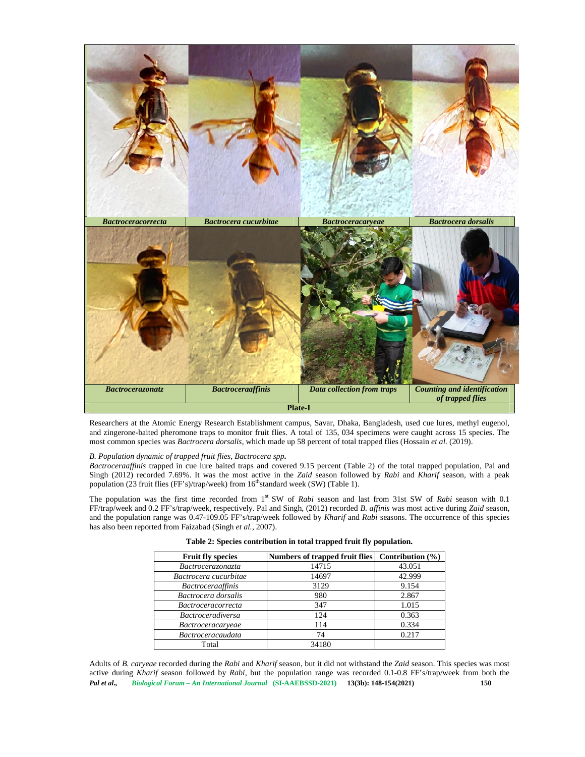

Researchers at the Atomic Energy Research Establishment campus, Savar, Dhaka, Bangladesh, used cue lures, methyl eugenol, and zingerone-baited pheromone traps to monitor fruit flies. A total of 135, 034 specimens were caught across 15 species. The most common species was *Bactrocera dorsalis*, which made up 58 percent of total trapped flies (Hossain *et al.* (2019).

*B. Population dynamic of trapped fruit flies, Bactrocera spp***.**

*Bactroceraaffinis* trapped in cue lure baited traps and covered 9.15 percent (Table 2) of the total trapped population, Pal and Singh (2012) recorded 7.69%. It was the most active in the *Zaid* season followed by *Rabi* and *Kharif* season, with a peak population (23 fruit flies (FF's)/trap/week) from  $16<sup>th</sup>$ standard week (SW) (Table 1).

The population was the first time recorded from 1<sup>st</sup> SW of *Rabi* season and last from 31st SW of *Rabi* season with 0.1 FF/trap/week and 0.2 FF's/trap/week, respectively. Pal and Singh, (2012) recorded *B. affinis* was most active during *Zaid* season, and the population range was 0.47-109.05 FF's/trap/week followed by *Kharif* and *Rabi* seasons. The occurrence of this species has also been reported from Faizabad (Singh *et al.,* 2007).

| <b>Fruit fly species</b>  | Numbers of trapped fruit flies $\vert$ Contribution $\vert\%$ |        |
|---------------------------|---------------------------------------------------------------|--------|
| Bactrocerazonazta         | 14715                                                         | 43.051 |
| Bactrocera cucurbitae     | 14697                                                         | 42.999 |
| <i>Bactroceraaffinis</i>  | 3129                                                          | 9.154  |
| Bactrocera dorsalis       | 980                                                           | 2.867  |
| <i>Bactroceracorrecta</i> | 347                                                           | 1.015  |
| <i>Bactroceradiversa</i>  | 124                                                           | 0.363  |
| <i>Bactroceracaryeae</i>  | 114                                                           | 0.334  |
| <b>Bactroceracaudata</b>  | 74                                                            | 0.217  |
| Total                     | 34180                                                         |        |

**Table 2: Species contribution in total trapped fruit fly population.**

*Pal et al., Biological Forum – An International Journal* **(SI-AAEBSSD-2021) 13(3b): 148-154(2021) 150** Adults of *B. caryeae* recorded during the *Rabi* and *Kharif* season, but it did not withstand the *Zaid* season. This species was most active during *Kharif* season followed by *Rabi*, but the population range was recorded 0.1-0.8 FF's/trap/week from both the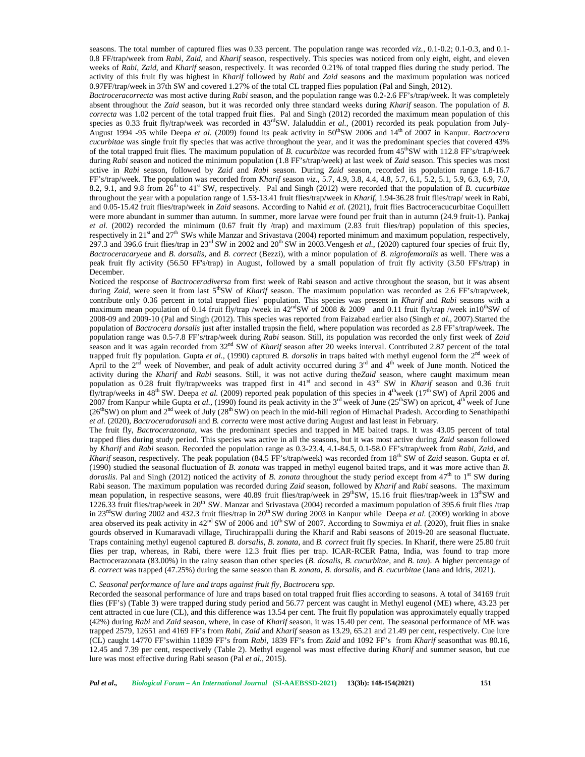seasons. The total number of captured flies was 0.33 percent. The population range was recorded *viz.,*0.1-0.2; 0.1-0.3, and 0.1- 0.8 FF/trap/week from *Rabi*, *Zaid*, and *Kharif* season, respectively. This species was noticed from only eight, eight, and eleven weeks of *Rabi*, *Zaid*, and *Kharif* season, respectively. It was recorded 0.21% of total trapped flies during the study period. The activity of this fruit fly was highest in *Kharif* followed by *Rabi* and *Zaid* seasons and the maximum population was noticed 0.97FF/trap/week in 37th SW and covered 1.27% of the total CL trapped flies population (Pal and Singh, 2012).

*Bactroceracorrecta* was most active during *Rabi* season, and the population range was 0.2-2.6 FF's/trap/week. It was completely absent throughout the *Zaid* season, but it was recorded only three standard weeks during *Kharif* season. The population of *B. correcta* was 1.02 percent of the total trapped fruit flies. Pal and Singh (2012) recorded the maximum mean population of this species as 0.33 fruit fly/trap/week was recorded in  $43<sup>rd</sup>SW$ . Jalaluddin *et al.*, (2001) recorded its peak population from July-August 1994 -95 while Deepa et al. (2009) found its peak activity in 50<sup>th</sup>SW 2006 and 14<sup>th</sup> of 2007 in Kanpur. *Bactrocera cucurbitae* was single fruit fly species that was active throughout the year, and it was the predominant species that covered 43% of the total trapped fruit flies. The maximum population of *B. cucurbitae* was recorded from 45thSW with 112.8 FF's/trap/week during *Rabi* season and noticed the minimum population (1.8 FF's/trap/week) at last week of *Zaid* season. This species was most active in *Rabi* season, followed by *Zaid* and *Rabi* season. During *Zaid* season, recorded its population range 1.8-16.7 FF's/trap/week. The population was recorded from *Kharif* season *viz.,* 5.7, 4.9, 3.8, 4.4, 4.8, 5.7, 6.1, 5.2, 5.1, 5.9, 6.3, 6.9, 7.0, 8.2, 9.1, and 9.8 from 26th to 41st SW, respectively. Pal and Singh (2012) were recorded that the population of *B. cucurbitae* throughout the year with a population range of 1.53-13.41 fruit flies/trap/week in *Kharif*, 1.94-36.28 fruit flies/trap/ week in Rabi, and 0.05-15.42 fruit flies/trap/week in *Zaid* seasons. According to Nahid *et al.* (2021), fruit flies Bactroceracucurbitae Coquillett were more abundant in summer than autumn. In summer, more larvae were found per fruit than in autumn (24.9 fruit-1). Pankaj *et al.* (2002) recorded the minimum (0.67 fruit fly /trap) and maximum (2.83 fruit flies/trap) population of this species, respectively in  $21<sup>st</sup>$  and  $27<sup>th</sup>$  SWs while Manzar and Srivastava (2004) reported minimum and maximum population, respectively, 297.3 and 396.6 fruit flies/trap in  $23<sup>rd</sup> SW$  in 2002 and  $20<sup>th</sup> SW$  in 2003. Vengesh *et al.*, (2020) captured four species of fruit fly, *Bactroceracaryeae* and *B. dorsalis*, and *B. correct* (Bezzi), with a minor population of *B. nigrofemoralis* as well. There was a peak fruit fly activity (56.50 FF's/trap) in August, followed by a small population of fruit fly activity (3.50 FF's/trap) in December.

Noticed the response of *Bactroceradiversa* from first week of Rabi season and active throughout the season, but it was absent during *Zaid*, were seen it from last 5<sup>th</sup>SW of *Kharif* season. The maximum population was recorded as 2.6 FF's/trap/week, contribute only 0.36 percent in total trapped flies' population. This species was present in *Kharif* and *Rabi* seasons with a maximum mean population of 0.14 fruit fly/trap /week in  $42^{nd}SW$  of 2008 & 2009 and 0.11 fruit fly/trap /week in10<sup>th</sup>SW of 2008-09 and 2009-10 (Pal and Singh (2012). This species was reported from Faizabad earlier also (Singh *et al.,* 2007).Started the population of *Bactrocera dorsalis* just after installed trapsin the field, where population was recorded as 2.8 FF's/trap/week. The population range was 0.5-7.8 FF's/trap/week during *Rabi* season. Still, its population was recorded the only first week of *Zaid* season and it was again recorded from 32nd SW of *Kharif* season after 20 weeks interval. Contributed 2.87 percent of the total trapped fruit fly population. Gupta *et al.,* (1990) captured *B. dorsalis* in traps baited with methyl eugenol form the 2nd week of April to the  $2^{nd}$  week of November, and peak of adult activity occurred during  $3^{rd}$  and  $4^{th}$  week of June month. Noticed the activity during the *Kharif* and *Rabi* seasons. Still, it was not active during the*Zaid* season, where caught maximum mean population as 0.28 fruit fly/trap/weeks was trapped first in 41st and second in 43rd SW in *Kharif* season and 0.36 fruit fly/trap/weeks in 48<sup>th</sup> SW. Deepa *et al.* (2009) reported peak population of this species in 4<sup>th</sup>week (17<sup>th</sup> SW) of April 2006 and 2007 from Kanpur while Gupta *et al.*, (1990) found its peak activity in the 3<sup>rd</sup> week of June (25<sup>th</sup>SW) on apricot, 4<sup>th</sup> week of June ( $26<sup>th</sup>SW$ ) on plum and  $2<sup>nd</sup>$  week of July ( $28<sup>th</sup> SW$ ) on peach in the mid-hill region of Himachal Pradesh. According to Senathipathi *et al.* (2020), *Bactroceradorasali* and *B. correcta* were most active during August and last least in February.

The fruit fly, *Bactrocerazonata*, was the predominant species and trapped in ME baited traps. It was 43.05 percent of total trapped flies during study period. This species was active in all the seasons, but it was most active during *Zaid* season followed by *Kharif* and *Rabi* season. Recorded the population range as 0.3-23.4, 4.1-84.5, 0.1-58.0 FF's/trap/week from *Rabi*, *Zaid*, and *Kharif* season, respectively. The peak population (84.5 FF's/trap/week) was recorded from 18<sup>th</sup> SW of *Zaid* season. Gupta *et al.* (1990) studied the seasonal fluctuation of *B. zonata* was trapped in methyl eugenol baited traps, and it was more active than *B. doraslis*. Pal and Singh (2012) noticed the activity of *B. zonata* throughout the study period except from 47<sup>th</sup> to 1<sup>st</sup> SW during Rabi season. The maximum population was recorded during *Zaid* season, followed by *Kharif* and *Rabi* seasons. The maximum mean population, in respective seasons, were 40.89 fruit flies/trap/week in  $29^{th}SW$ , 15.16 fruit flies/trap/week in  $13^{th}SW$  and 1226.33 fruit flies/trap/week in  $20<sup>th</sup>$  SW. Manzar and Srivastava (2004) recorded a maximum population of 395.6 fruit flies /trap in 23<sup>rd</sup>SW during 2002 and 432.3 fruit flies/trap in 20<sup>th</sup> SW during 2003 in Kanpur while Deepa *et al.* (2009) working in above area observed its peak activity in 42<sup>nd</sup> SW of 2006 and 10<sup>th</sup> SW of 2007. According to Sowmiya *et al.* (2020), fruit flies in snake gourds observed in Kumaravadi village, Tiruchirappalli during the Kharif and Rabi seasons of 2019-20 are seasonal fluctuate. Traps containing methyl eugenol captured *B. dorsalis, B. zonata*, and *B. correct* fruit fly species. In Kharif, there were 25.80 fruit flies per trap, whereas, in Rabi, there were 12.3 fruit flies per trap. ICAR-RCER Patna, India, was found to trap more Bactrocerazonata (83.00%) in the rainy season than other species (*B. dosalis, B. cucurbitae,* and *B. tau*). A higher percentage of *B. correct* was trapped (47.25%) during the same season than *B. zonata, B. dorsalis,* and *B. cucurbitae* (Jana and Idris, 2021).

#### *C. Seasonal performance of lure and traps against fruit fly, Bactrocera spp.*

Recorded the seasonal performance of lure and traps based on total trapped fruit flies according to seasons. A total of 34169 fruit flies (FF's) (Table 3) were trapped during study period and 56.77 percent was caught in Methyl eugenol (ME) where, 43.23 per cent attracted in cue lure (CL), and this difference was 13.54 per cent. The fruit fly population was approximately equally trapped (42%) during *Rabi* and *Zaid* season, where, in case of *Kharif* season, it was 15.40 per cent. The seasonal performance of ME was trapped 2579, 12651 and 4169 FF's from *Rabi*, *Zaid* and *Kharif* season as 13.29, 65.21 and 21.49 per cent, respectively. Cue lure (CL) caught 14770 FF'swithin 11839 FF's from *Rabi*, 1839 FF's from *Zaid*and 1092 FF's from *Kharif* seasonthat was 80.16, 12.45 and 7.39 per cent, respectively (Table 2). Methyl eugenol was most effective during *Kharif* and summer season, but cue lure was most effective during Rabi season (Pal *et al.,* 2015).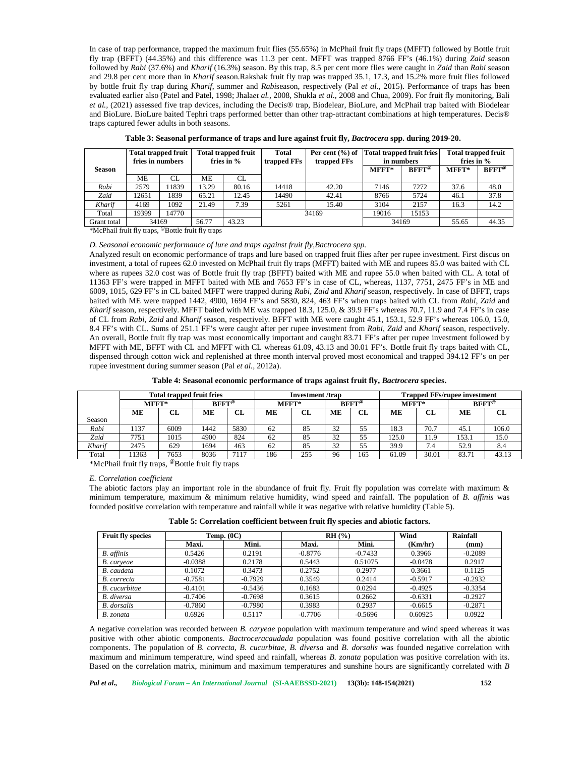In case of trap performance, trapped the maximum fruit flies (55.65%) in McPhail fruit fly traps (MFFT) followed by Bottle fruit fly trap (BFFT) (44.35%) and this difference was 11.3 per cent. MFFT was trapped 8766 FF's (46.1%) during *Zaid* season followed by *Rabi* (37.6%) and *Kharif* (16.3%) season. By this trap, 8.5 per cent more flies were caught in *Zaid* than *Rabi* season and 29.8 per cent more than in *Kharif* season.Rakshak fruit fly trap was trapped 35.1, 17.3, and 15.2% more fruit flies followed by bottle fruit fly trap during *Kharif*, summer and *Rabi*season, respectively (Pal *et al.,* 2015). Performance of traps has been evaluated earlier also (Patel and Patel, 1998; Jhala*et al.,* 2008, Shukla *et al.,* 2008 and Chua, 2009). For fruit fly monitoring, Bali *et al.,* (2021) assessed five trap devices, including the Decis® trap, Biodelear, BioLure, and McPhail trap baited with Biodelear and BioLure. BioLure baited Tephri traps performed better than other trap-attractant combinations at high temperatures. Decis® traps captured fewer adults in both seasons.

|               | <b>Total trapped fruit</b><br>Total trapped fruit<br>fries in $\%$<br>fries in numbers |       | Total<br>trapped FFs | trapped FFs | Per cent (%) of Total trapped fruit fries<br>in numbers |       | <b>Total trapped fruit</b><br>fries in $%$ |                 |       |                 |
|---------------|----------------------------------------------------------------------------------------|-------|----------------------|-------------|---------------------------------------------------------|-------|--------------------------------------------|-----------------|-------|-----------------|
| <b>Season</b> |                                                                                        |       |                      |             |                                                         |       | $MFFT*$                                    | $BFFT^{\omega}$ | MFFT* | $BFFT^{\omega}$ |
|               | MЕ                                                                                     | CL    | MЕ                   | CL.         |                                                         |       |                                            |                 |       |                 |
| Rabi          | 2579                                                                                   | 1839  | 13.29                | 80.16       | 14418                                                   | 42.20 | 7146                                       | 7272            | 37.6  | 48.0            |
| Zaid          | 12651                                                                                  | 1839  | 65.21                | 12.45       | 14490                                                   | 42.41 | 8766                                       | 5724            | 46.1  | 37.8            |
| Kharif        | 4169                                                                                   | 1092  | 21.49                | 7.39        | 5261                                                    | 15.40 | 3104                                       | 2157            | 16.3  | 14.2            |
| Total         | 19399                                                                                  | 14770 |                      |             | 34169                                                   |       | 19016                                      | 15153           |       |                 |
| Grant total   | 34169                                                                                  |       | 56.77                | 43.23       |                                                         |       |                                            | 34169           | 55.65 | 44.35           |

**Table 3: Seasonal performance of traps and lure against fruit fly,** *Bactrocera* **spp. during 2019-20.**

\*McPhail fruit fly traps, @Bottle fruit fly traps

### *D. Seasonal economic performance of lure and traps against fruit fly,Bactrocera spp.*

Analyzed result on economic performance of traps and lure based on trapped fruit flies after per rupee investment. First discus on investment, a total of rupees 62.0 invested on McPhail fruit fly traps (MFFT) baited with ME and rupees 85.0 was baited with CL where as rupees 32.0 cost was of Bottle fruit fly trap (BFFT) baited with ME and rupee 55.0 when baited with CL. A total of 11363 FF's were trapped in MFFT baited with ME and 7653 FF's in case of CL, whereas, 1137, 7751, 2475 FF's in ME and 6009, 1015, 629 FF's in CL baited MFFT were trapped during *Rabi, Zaid* and *Kharif* season, respectively. In case of BFFT, traps baited with ME were trapped 1442, 4900, 1694 FF's and 5830, 824, 463 FF's when traps baited with CL from *Rabi, Zaid* and *Kharif* season, respectively. MFFT baited with ME was trapped 18.3, 125.0, & 39.9 FF's whereas 70.7, 11.9 and 7.4 FF's in case of CL from *Rabi, Zaid* and *Kharif* season, respectively. BFFT with ME were caught 45.1, 153.1, 52.9 FF's whereas 106.0, 15.0, 8.4 FF's with CL. Sums of 251.1 FF's were caught after per rupee investment from *Rabi, Zaid* and *Kharif* season, respectively. An overall, Bottle fruit fly trap was most economically important and caught 83.71 FF's after per rupee investment followed by MFFT with ME, BFFT with CL and MFFT with CL whereas 61.09, 43.13 and 30.01 FF's. Bottle fruit fly traps baited with CL, dispensed through cotton wick and replenished at three month interval proved most economical and trapped 394.12 FF's on per rupee investment during summer season (Pal *et al.,* 2012a).

|  | Table 4: Seasonal economic performance of traps against fruit fly, Bactrocera species. |
|--|----------------------------------------------------------------------------------------|
|--|----------------------------------------------------------------------------------------|

|        |         | <b>Total trapped fruit fries</b> |                 |      | <b>Investment</b> /trap |     |                 |     | <b>Trapped FFs/rupee investment</b> |       |                 |       |
|--------|---------|----------------------------------|-----------------|------|-------------------------|-----|-----------------|-----|-------------------------------------|-------|-----------------|-------|
|        | $MFFT*$ |                                  | $BFFT^{\omega}$ |      | MFFT*                   |     | $BFFT^{\omega}$ |     | MFFT*                               |       | $BFFT^{\alpha}$ |       |
|        | MЕ      | CL                               | MЕ              | CL   | MЕ                      | CL  | MЕ              | CL  | MЕ                                  | CL    | MЕ              | CL    |
| Season |         |                                  |                 |      |                         |     |                 |     |                                     |       |                 |       |
| Rabi   | 1137    | 6009                             | 1442            | 5830 | 62                      | 85  | 32              |     | 18.3                                | 70.7  | 45.1            | 106.0 |
| Zaid   | 7751    | 1015                             | 4900            | 824  | 62                      | 85  | 32              | 55  | 125.0                               | 11.9  | 153.1           | 15.0  |
| Kharif | 2475    | 629                              | 1694            | 463  | 62                      | 85  | 32              | 55  | 39.9                                | 7.4   | 52.9            | 8.4   |
| Total  | 1363    | 7653                             | 8036            | 7117 | 186                     | 255 | 96              | 165 | 61.09                               | 30.01 | 83.71           | 43.13 |

\*McPhail fruit fly traps, @Bottle fruit fly traps

### *E. Correlation coefficient*

The abiotic factors play an important role in the abundance of fruit fly. Fruit fly population was correlate with maximum & minimum temperature, maximum & minimum relative humidity, wind speed and rainfall. The population of *B. affinis* was founded positive correlation with temperature and rainfall while it was negative with relative humidity (Table 5).

**Table 5: Correlation coefficient between fruit fly species and abiotic factors.**

| <b>Fruit fly species</b> | Temp. $(0C)$ |           |           | RH(%)     | Wind      | Rainfall  |
|--------------------------|--------------|-----------|-----------|-----------|-----------|-----------|
|                          | Maxi.        | Mini.     | Maxi.     | Mini.     | (Km/hr)   | (mm)      |
| B. affinis               | 0.5426       | 0.2191    | $-0.8776$ | $-0.7433$ | 0.3966    | $-0.2089$ |
| B. carveae               | $-0.0388$    | 0.2178    | 0.5443    | 0.51075   | $-0.0478$ | 0.2917    |
| B. caudata               | 0.1072       | 0.3473    | 0.2752    | 0.2977    | 0.3661    | 0.1125    |
| B. correcta              | $-0.7581$    | $-0.7929$ | 0.3549    | 0.2414    | $-0.5917$ | $-0.2932$ |
| <b>B.</b> cucurbitae     | $-0.4101$    | $-0.5436$ | 0.1683    | 0.0294    | $-0.4925$ | $-0.3354$ |
| <b>B.</b> diversa        | $-0.7406$    | $-0.7698$ | 0.3615    | 0.2662    | $-0.6331$ | $-0.2927$ |
| <b>B.</b> dorsalis       | $-0.7860$    | $-0.7980$ | 0.3983    | 0.2937    | $-0.6615$ | $-0.2871$ |
| B. zonata                | 0.6926       | 0.5117    | $-0.7706$ | $-0.5696$ | 0.60925   | 0.0922    |

A negative correlation was recorded between *B. caryeae* population with maximum temperature and wind speed whereas it was positive with other abiotic components. *Bactroceracaudada* population was found positive correlation with all the abiotic components. The population of *B. correcta, B. cucurbitae, B. diversa* and *B. dorsalis* was founded negative correlation with maximum and minimum temperature, wind speed and rainfall, whereas *B. zonata* population was positive correlation with its. Based on the correlation matrix, minimum and maximum temperatures and sunshine hours are significantly correlated with *B*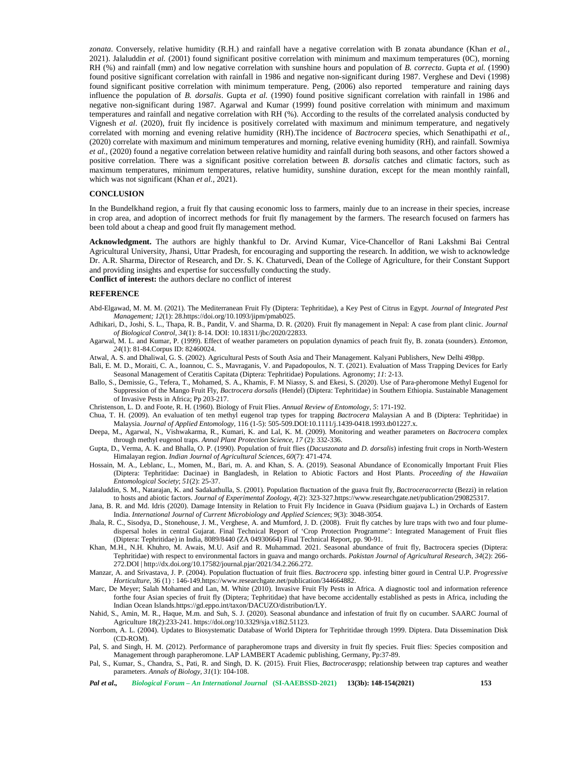*zonata*. Conversely, relative humidity (R.H.) and rainfall have a negative correlation with B zonata abundance (Khan *et al.,* 2021). Jalaluddin *et al.* (2001) found significant positive correlation with minimum and maximum temperatures (0C), morning RH (%) and rainfall (mm) and low negative correlation with sunshine hours and population of *B. correcta*. Gupta *et al.* (1990) found positive significant correlation with rainfall in 1986 and negative non-significant during 1987. Verghese and Devi (1998) found significant positive correlation with minimum temperature. Peng, (2006) also reported temperature and raining days influence the population of *B. dorsalis*. Gupta *et al.* (1990) found positive significant correlation with rainfall in 1986 and negative non-significant during 1987. Agarwal and Kumar (1999) found positive correlation with minimum and maximum temperatures and rainfall and negative correlation with RH (%). According to the results of the correlated analysis conducted by Vignesh *et al*. (2020), fruit fly incidence is positively correlated with maximum and minimum temperature, and negatively correlated with morning and evening relative humidity (RH).The incidence of *Bactrocera* species, which Senathipathi *et al.,* (2020) correlate with maximum and minimum temperatures and morning, relative evening humidity (RH), and rainfall. Sowmiya *et al.,* (2020) found a negative correlation between relative humidity and rainfall during both seasons, and other factors showed a positive correlation. There was a significant positive correlation between *B. dorsalis* catches and climatic factors, such as maximum temperatures, minimum temperatures, relative humidity, sunshine duration, except for the mean monthly rainfall, which was not significant (Khan *et al.,* 2021).

#### **CONCLUSION**

In the Bundelkhand region, a fruit fly that causing economic loss to farmers, mainly due to an increase in their species, increase in crop area, and adoption of incorrect methods for fruit fly management by the farmers. The research focused on farmers has been told about a cheap and good fruit fly management method.

**Acknowledgment.** The authors are highly thankful to Dr. Arvind Kumar, Vice-Chancellor of Rani Lakshmi Bai Central Agricultural University, Jhansi, Uttar Pradesh, for encouraging and supporting the research. In addition, we wish to acknowledge Dr. A.R. Sharma, Director of Research, and Dr. S. K. Chaturvedi, Dean of the College of Agriculture, for their Constant Support and providing insights and expertise for successfully conducting the study. **Conflict of interest:** the authors declare no conflict of interest

#### **REFERENCE**

- Abd-Elgawad, M. M. M. (2021). The Mediterranean Fruit Fly (Diptera: Tephritidae), a Key Pest of Citrus in Egypt. *Journal of Integrated Pest Management; 12*(1): 28.https://doi.org/10.1093/jipm/pmab025.
- Adhikari, D., Joshi, S. L., Thapa, R. B., Pandit, V. and Sharma, D. R. (2020). Fruit fly management in Nepal: A case from plant clinic. *Journal of Biological Control, 34*(1): 8-14. DOI: 10.18311/jbc/2020/22833.
- Agarwal, M. L. and Kumar, P. (1999). Effect of weather parameters on population dynamics of peach fruit fly, B. zonata (sounders). *Entomon*, *24*(1): 81-84.Corpus ID: 82460024.
- Atwal, A. S. and Dhaliwal, G. S. (2002). Agricultural Pests of South Asia and Their Management. Kalyani Publishers, New Delhi 498pp.
- Bali, E. M. D., Moraiti, C. A., Ioannou, C. S., Mavraganis, V. and Papadopoulos, N. T. (2021). Evaluation of Mass Trapping Devices for Early Seasonal Management of Ceratitis Capitata (Diptera: Tephritidae) Populations. Agronomy; *11*: 2-13.
- Ballo, S., Demissie, G., Tefera, T., Mohamed, S. A., Khamis, F. M Niassy, S. and Ekesi, S. (2020). Use of Para-pheromone Methyl Eugenol for Suppression of the Mango Fruit Fly, *Bactrocera dorsalis* (Hendel) (Diptera: Tephritidae) in Southern Ethiopia. Sustainable Management of Invasive Pests in Africa; Pp 203-217.
- Christenson, L. D. and Foote, R. H. (1960). Biology of Fruit Flies. *Annual Review of Entomology*, *5*: 171-192.
- Chua, T. H. (2009). An evaluation of ten methyl eugenol trap types for trapping *Bactrocera* Malaysian A and B (Diptera: Tephritidae) in Malaysia. *Journal of Applied Entomology*, 116 (1-5): 505-509.DOI:10.1111/j.1439-0418.1993.tb01227.x.
- Deepa, M., Agarwal, N., Vishwakarma, R., Kumari, K. and Lal, K. M. (2009). Monitoring and weather parameters on *Bactrocera* complex through methyl eugenol traps. *Annal Plant Protection Science, 17* (2): 332-336.
- Gupta, D., Verma, A. K. and Bhalla, O. P. (1990). Population of fruit flies (*Dacuszonata* and *D. dorsalis*) infesting fruit crops in North-Western Himalayan region. *Indian Journal of Agricultural Sciences, 60*(7): 471-474.
- Hossain, M. A., Leblanc, L., Momen, M., Bari, m. A. and Khan, S. A. (2019). Seasonal Abundance of Economically Important Fruit Flies (Diptera: Tephritidae: Dacinae) in Bangladesh, in Relation to Abiotic Factors and Host Plants. *Proceeding of the Hawaiian Entomological Society*; *51*(2): 25-37.
- Jalaluddin, S. M., Natarajan, K. and Sadakathulla, S. (2001). Population fluctuation of the guava fruit fly, *Bactroceracorrecta* (Bezzi) in relation to hosts and abiotic factors. *Journal of Experimental Zoology*, *4*(2): 323-327.https://<www.researchgate.net/publication/290825317>.
- Jana, B. R. and Md. Idris (2020). Damage Intensity in Relation to Fruit Fly Incidence in Guava (Psidium guajava L.) in Orchards of Eastern India. *International Journal of Current Microbiology and Applied Sciences*; *9*(3): 3048-3054.
- Jhala, R. C., Sisodya, D., Stonehouse, J. M., Verghese, A. and Mumford, J. D. (2008). Fruit fly catches by lure traps with two and four plume dispersal holes in central Gujarat. Final Technical Report of 'Crop Protection Programme': Integrated Management of Fruit flies (Diptera: Tephritidae) in India, 8089/8440 (ZA 04930664) Final Technical Report, pp. 90-91.
- Khan, M.H., N.H. Khuhro, M. Awais, M.U. Asif and R. Muhammad. 2021. Seasonal abundance of fruit fly, Bactrocera species (Diptera: Tephritidae) with respect to environmental factors in guava and mango orchards. *Pakistan Journal of Agricultural Research*, *34*(2): 266- 272.DOI | <http://dx.doi.org/10.17582/>journal.pjar/2021/34.2.266.272.
- Manzar, A. and Srivastava, J. P. (2004). Population fluctuation of fruit flies. *Bactrocera* spp. infesting bitter gourd in Central U.P. *Progressive Horticulture*, 36 (1) : 146-149.https:/[/www.researchgate.net/publication/344664882](www.researchgate.net/publication/344664882).
- Marc, De Meyer; Salah Mohamed and Lan, M. White (2010). Invasive Fruit Fly Pests in Africa. A diagnostic tool and information reference forthe four Asian species of fruit fly (Diptera; Tephritidae) that have become accidentally established as pests in Africa, including the Indian Ocean Islands.https://gd.eppo.int/taxon/DACUZO/distribution/LY.
- Nahid, S., Amin, M. R., Haque, M.m. and Suh, S. J. (2020). Seasonal abundance and infestation of fruit fly on cucumber. SAARC Journal of Agriculture 18(2):233-241. https://doi.org/10.3329/sja.v18i2.51123.
- Norrbom, A. L. (2004). Updates to Biosystematic Database of World Diptera for Tephritidae through 1999. Diptera. Data Dissemination Disk (CD-ROM).
- Pal, S. and Singh, H. M. (2012). Performance of parapheromone traps and diversity in fruit fly species. Fruit flies: Species composition and Management through parapheromone. LAP LAMBERT Academic publishing, Germany, Pp:37-89.
- Pal, S., Kumar, S., Chandra, S., Pati, R. and Singh, D. K. (2015). Fruit Flies, *Bactrocera*spp; relationship between trap captures and weather parameters. *Annals of Biology, 31*(1): 104-108.

*Pal et al., Biological Forum – An International Journal* **(SI-AAEBSSD-2021) 13(3b): 148-154(2021) 153**